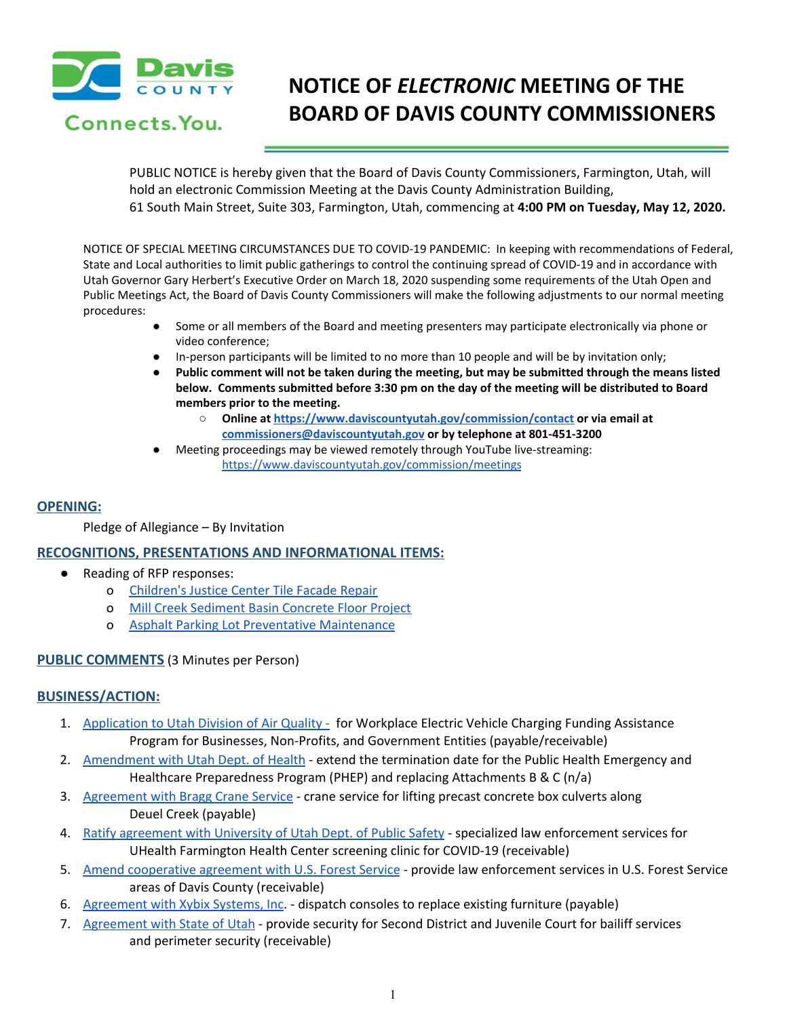

# **NOTICE OF** *ELECTRONIC* **MEETING OF THE BOARD OF DAVIS COUNTY COMMISSIONERS**

PUBLIC NOTICE is hereby given that the Board of Davis County Commissioners, Farmington, Utah, will hold an electronic Commission Meeting at the Davis County Administration Building, 61 South Main Street, Suite 303, Farmington, Utah, commencing at **4:00 PM on Tuesday, May 12, 2020.**

NOTICE OF SPECIAL MEETING CIRCUMSTANCES DUE TO COVID-19 PANDEMIC: In keeping with recommendations of Federal, State and Local authorities to limit public gatherings to control the continuing spread of COVID-19 and in accordance with Utah Governor Gary Herbert's Executive Order on March 18, 2020 suspending some requirements of the Utah Open and Public Meetings Act, the Board of Davis County Commissioners will make the following adjustments to our normal meeting procedures:

- Some or all members of the Board and meeting presenters may participate electronically via phone or video conference;
- In-person participants will be limited to no more than 10 people and will be by invitation only;
- Public comment will not be taken during the meeting, but may be submitted through the means listed **below. Comments submitted before 3:30 pm on the day of the meeting will be distributed to Board members prior to the meeting.**
	- **○ Online at <https://www.daviscountyutah.gov/commission/contact> or via email at [commissioners@daviscountyutah.gov](mailto:commissioners@daviscountyutah.gov) or by telephone at 801-451-3200**
- Meeting proceedings may be viewed remotely through YouTube live-streaming: <https://www.daviscountyutah.gov/commission/meetings>

# **OPENING:**

Pledge of Allegiance – By Invitation

## **RECOGNITIONS, PRESENTATIONS AND INFORMATIONAL ITEMS:**

- Reading of RFP responses:
	- o [Children's](https://drive.google.com/file/d/1q4ij1xemrX2TGmO_eyIWCt_X4U2niVsZ/view?usp=drivesdk) Justice Center Tile Facade Repair
	- o Mill Creek [Sediment](https://drive.google.com/file/d/16Y7yQ8T9v0noZ-Hs9-uWCmt_Sk06rzyq/view?usp=drivesdk) Basin Concrete Floor Project
	- o Asphalt Parking Lot Preventative [Maintenance](https://drive.google.com/file/d/1l18KZbH81OBLMoMF-L2rfRV_0lDkVLHR/view?usp=drivesdk)

## **PUBLIC COMMENTS** (3 Minutes per Person)

## **BUSINESS/ACTION:**

- 1. [Application](https://drive.google.com/file/d/1GvQJeD8Tysvvv4GJA_ZyuFkZjaob5DZe/view?usp=drivesdk) to Utah Division of Air Quality for Workplace Electric Vehicle Charging Funding Assistance Program for Businesses, Non-Profits, and Government Entities (payable/receivable)
- 2. [Amendment](https://drive.google.com/file/d/1e3tOHzVV6KIMXVwDzCnuEaNI_UMXWJG0/view?usp=drivesdk) with Utah Dept. of Health extend the termination date for the Public Health Emergency and Healthcare Preparedness Program (PHEP) and replacing Attachments B & C (n/a)
- 3. [Agreement](https://drive.google.com/file/d/1G9hbzroNKbDy6yrrxx2DkOlTHPT6HUl0/view?usp=drivesdk) with Bragg Crane Service crane service for lifting precast concrete box culverts along Deuel Creek (payable)
- 4. Ratify [agreement](https://drive.google.com/file/d/1-7hMUPtQmqja4Ztjgl37SFK9ii_RmEAs/view?usp=drivesdk) with University of Utah Dept. of Public Safety specialized law enforcement services for UHealth Farmington Health Center screening clinic for COVID-19 (receivable)
- 5. Amend [cooperative](https://drive.google.com/file/d/1xn53AqD1CdqrwcqS6TJeBdrLZttPdlFv/view?usp=drivesdk) agreement with U.S. Forest Service provide law enforcement services in U.S. Forest Service areas of Davis County (receivable)
- 6. [Agreement](https://drive.google.com/file/d/1n-1FabgrT0SfZA8Xcc3PxUpo89sSkOuA/view?usp=drivesdk) with Xybix Systems, Inc. dispatch consoles to replace existing furniture (payable)
- 7. [Agreement](https://drive.google.com/file/d/1BZjXTG0lbW3CAyWTwDR4JJNktF4CxJQL/view?usp=drivesdk) with State of Utah provide security for Second District and Juvenile Court for bailiff services and perimeter security (receivable)